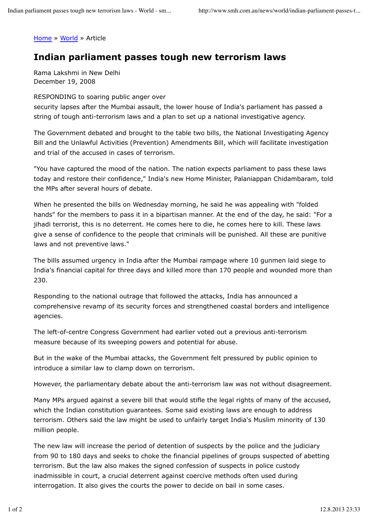Home » World » Article

## **Indian parliament passes tough new terrorism laws**

Rama Lakshmi in New Delhi December 19, 2008

RESPONDING to soaring public anger over

security lapses after the Mumbai assault, the lower house of India's parliament has passed a string of tough anti-terrorism laws and a plan to set up a national investigative agency.

The Government debated and brought to the table two bills, the National Investigating Agency Bill and the Unlawful Activities (Prevention) Amendments Bill, which will facilitate investigation and trial of the accused in cases of terrorism.

"You have captured the mood of the nation. The nation expects parliament to pass these laws today and restore their confidence," India's new Home Minister, Palaniappan Chidambaram, told the MPs after several hours of debate.

When he presented the bills on Wednesday morning, he said he was appealing with "folded hands" for the members to pass it in a bipartisan manner. At the end of the day, he said: "For a jihadi terrorist, this is no deterrent. He comes here to die, he comes here to kill. These laws give a sense of confidence to the people that criminals will be punished. All these are punitive laws and not preventive laws."

The bills assumed urgency in India after the Mumbai rampage where 10 gunmen laid siege to India's financial capital for three days and killed more than 170 people and wounded more than 230.

Responding to the national outrage that followed the attacks, India has announced a comprehensive revamp of its security forces and strengthened coastal borders and intelligence agencies.

The left-of-centre Congress Government had earlier voted out a previous anti-terrorism measure because of its sweeping powers and potential for abuse.

But in the wake of the Mumbai attacks, the Government felt pressured by public opinion to introduce a similar law to clamp down on terrorism.

However, the parliamentary debate about the anti-terrorism law was not without disagreement.

Many MPs argued against a severe bill that would stifle the legal rights of many of the accused, which the Indian constitution guarantees. Some said existing laws are enough to address terrorism. Others said the law might be used to unfairly target India's Muslim minority of 130 million people.

The new law will increase the period of detention of suspects by the police and the judiciary from 90 to 180 days and seeks to choke the financial pipelines of groups suspected of abetting terrorism. But the law also makes the signed confession of suspects in police custody inadmissible in court, a crucial deterrent against coercive methods often used during interrogation. It also gives the courts the power to decide on bail in some cases.